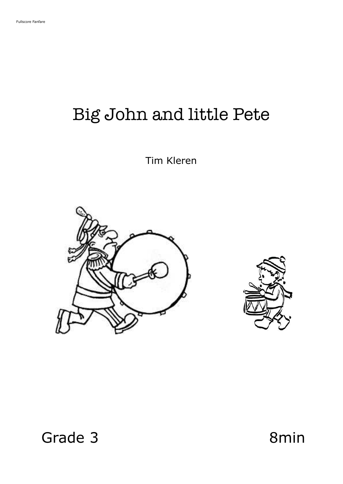# Big John and little Pete

Tim Kleren





Grade 3 8min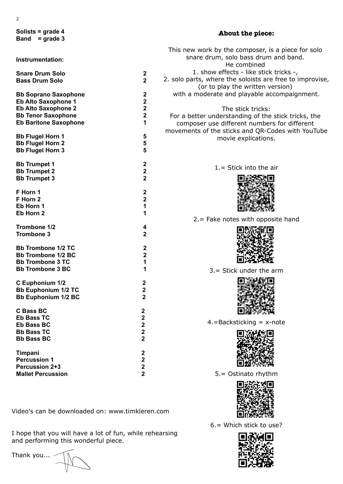Solists = grade 4 Band =  $grade$  3

Instrumentation:

| <b>Snare Drum Solo</b>                                                                               | $\overline{2}$                                   |
|------------------------------------------------------------------------------------------------------|--------------------------------------------------|
| <b>Bass Drum Solo</b>                                                                                | $\overline{2}$                                   |
| <b>Bb Soprano Saxophone</b>                                                                          | 2                                                |
| <b>Eb Alto Saxophone 1</b>                                                                           | $\overline{2}$                                   |
| <b>Eb Alto Saxophone 2</b>                                                                           | $\overline{\mathbf{c}}$                          |
| <b>Bb Tenor Saxophone</b>                                                                            | $\overline{2}$                                   |
| <b>Eb Baritone Saxophone</b>                                                                         | 1                                                |
| <b>Bb Flugel Horn 1</b>                                                                              | 5                                                |
| <b>Bb Flugel Horn 2</b>                                                                              | 5                                                |
| <b>Bb Flugel Horn 3</b>                                                                              | 5                                                |
| <b>Bb Trumpet 1</b>                                                                                  | $\mathbf 2$                                      |
| <b>Bb Trumpet 2</b>                                                                                  | 2                                                |
| <b>Bb Trumpet 3</b>                                                                                  | $\overline{2}$                                   |
| F Horn 1                                                                                             | $\overline{2}$                                   |
| F Horn 2                                                                                             | $\overline{2}$                                   |
| Eb Horn 1                                                                                            | 1                                                |
| Eb Horn 2                                                                                            | $\overline{\mathbf{1}}$                          |
| Trombone 1/2                                                                                         | 4                                                |
| <b>Trombone 3</b>                                                                                    | $\overline{2}$                                   |
| <b>Bb Trombone 1/2 TC</b>                                                                            | $\overline{2}$                                   |
| <b>Bb Trombone 1/2 BC</b>                                                                            | $\overline{2}$                                   |
| <b>Bb Trombone 3 TC</b>                                                                              | 1                                                |
| <b>Bb Trombone 3 BC</b>                                                                              | 1                                                |
| C Euphonium 1/2<br><b>Bb Euphonium 1/2 TC</b><br><b>Bb Euphonium 1/2 BC</b>                          | 2<br>$\frac{2}{2}$                               |
| <b>C Bass BC</b><br><b>Eb Bass TC</b><br><b>Eb Bass BC</b><br><b>Bb Bass TC</b><br><b>Bb Bass BC</b> | $\frac{2}{2}$<br>$\frac{2}{2}$<br>$\overline{2}$ |

Timpani 2 Percussion 1 2 Percussion 2+3 2 Mallet Percussion 2

Video's can be downloaded on: www.timkleren.com

I hope that you will have a lot of fun, while rehearsing and performing this wonderful piece.

Thank you...

#### About the piece:

This new work by the composer, is a piece for solo snare drum, solo bass drum and band. He combined 1. show effects - like stick tricks -,

2. solo parts, where the soloists are free to improvise, (or to play the written version)

with a moderate and playable accompaignment.

The stick tricks:

For a better understanding of the stick tricks, the composer use different numbers for different movements of the sticks and QR-Codes with YouTube movie explications.

1.= Stick into the air



2.= Fake notes with opposite hand



3.= Stick under the arm

 $4. =$ Backsticking  $=$  x-note



5.= Ostinato rhythm



6.= Which stick to use?

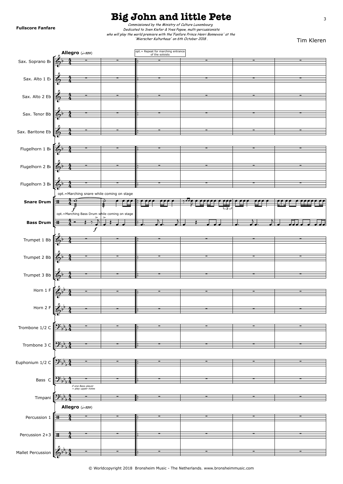## Big John and little Pete Commissioned by the Ministry of Culture Luxembourg

Dedicated to Sven Kiefer & Yves Popow, multi-percussionists who will play the world premiere with the 'Fanfare Prince Henri Bonnevoie' at the 'Mierscher Kulturhaus' on 6th October 2018 .

Tim Kleren

|                   | Allegro (=120)                                | opt. = Repeat for marching entrance<br>of the soloists |     |  |  |
|-------------------|-----------------------------------------------|--------------------------------------------------------|-----|--|--|
| Sax. Soprano Bb   |                                               |                                                        |     |  |  |
|                   |                                               |                                                        |     |  |  |
|                   |                                               |                                                        |     |  |  |
| Sax. Alto 1 Eb    |                                               |                                                        |     |  |  |
|                   |                                               |                                                        |     |  |  |
| Sax. Alto 2 Eb    | œ                                             |                                                        |     |  |  |
|                   |                                               |                                                        |     |  |  |
| Sax. Tenor Bb     |                                               |                                                        |     |  |  |
|                   |                                               |                                                        |     |  |  |
|                   |                                               |                                                        |     |  |  |
| Sax. Baritone Eb  |                                               |                                                        |     |  |  |
|                   |                                               |                                                        |     |  |  |
| Flugelhorn 1 Bb   |                                               |                                                        |     |  |  |
|                   |                                               |                                                        |     |  |  |
|                   |                                               |                                                        |     |  |  |
| Flugelhorn 2 Bb   |                                               |                                                        |     |  |  |
|                   |                                               |                                                        |     |  |  |
| Flugelhorn 3 Bb   | ৩ে                                            |                                                        |     |  |  |
|                   |                                               |                                                        |     |  |  |
|                   | opt.=Marching snare while coming on stage     |                                                        |     |  |  |
| <b>Snare Drum</b> | <u>#</u>                                      |                                                        |     |  |  |
|                   |                                               |                                                        | – 3 |  |  |
|                   | opt.=Marching Bass Drum while coming on stage |                                                        |     |  |  |
| <b>Bass Drum</b>  | 78                                            |                                                        |     |  |  |
|                   | f                                             |                                                        |     |  |  |
| Trumpet 1 Bb      |                                               |                                                        |     |  |  |
|                   |                                               |                                                        |     |  |  |
|                   |                                               |                                                        |     |  |  |
| Trumpet 2 Bb      |                                               |                                                        |     |  |  |
|                   |                                               |                                                        |     |  |  |
| Trumpet 3 Bb      |                                               |                                                        |     |  |  |
|                   |                                               |                                                        |     |  |  |
| Horn $1$ F        |                                               |                                                        |     |  |  |
|                   |                                               |                                                        |     |  |  |
|                   |                                               |                                                        |     |  |  |
| Horn 2 F          |                                               |                                                        |     |  |  |
|                   |                                               |                                                        |     |  |  |
|                   |                                               |                                                        |     |  |  |
| Trombone 1/2 C    | $9_+$                                         |                                                        |     |  |  |
|                   |                                               |                                                        |     |  |  |
| Trombone 3 C      |                                               |                                                        |     |  |  |
|                   |                                               |                                                        |     |  |  |
|                   | 9                                             |                                                        |     |  |  |
| Euphonium 1/2 C   |                                               |                                                        |     |  |  |
|                   |                                               |                                                        |     |  |  |
| Bass C            |                                               |                                                        |     |  |  |
|                   | if one Bass player<br>= play upper notes      |                                                        |     |  |  |
| Timpani           |                                               |                                                        |     |  |  |
|                   |                                               |                                                        |     |  |  |
|                   | Allegro (=120)                                |                                                        |     |  |  |
| Percussion 1      | ᄑ                                             |                                                        |     |  |  |
|                   |                                               |                                                        |     |  |  |
|                   |                                               |                                                        |     |  |  |
| Percussion 2+3    | - 11                                          |                                                        |     |  |  |
|                   |                                               |                                                        |     |  |  |
| Mallet Percussion |                                               |                                                        |     |  |  |
|                   |                                               |                                                        |     |  |  |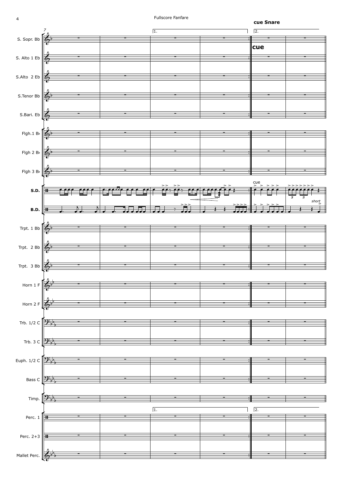cue Snare

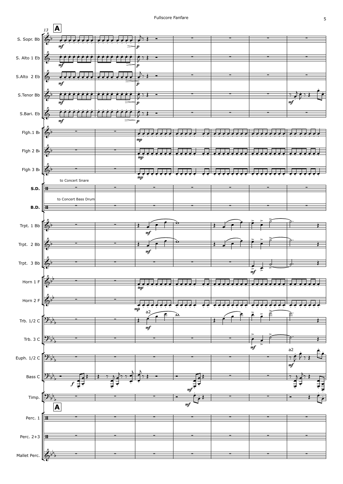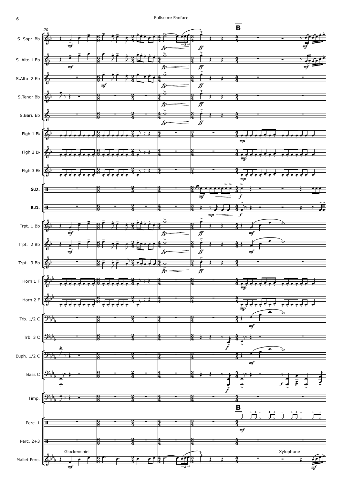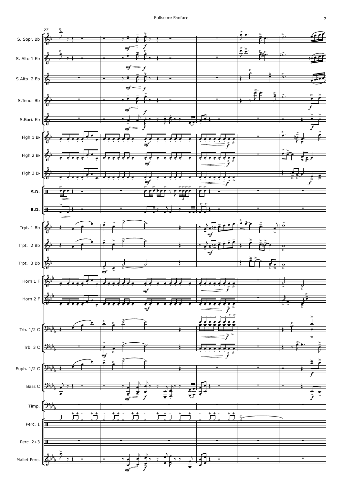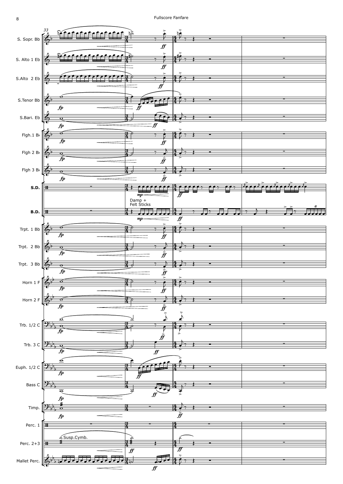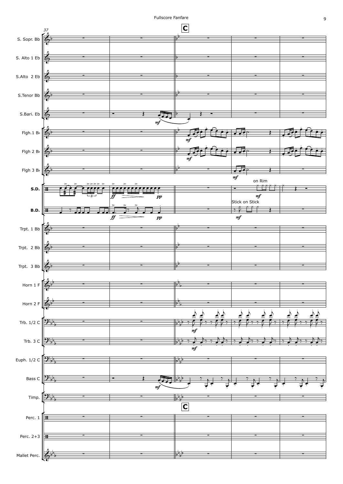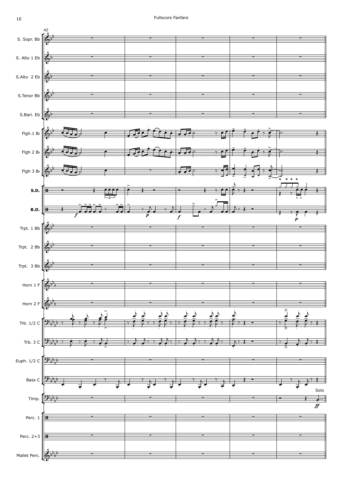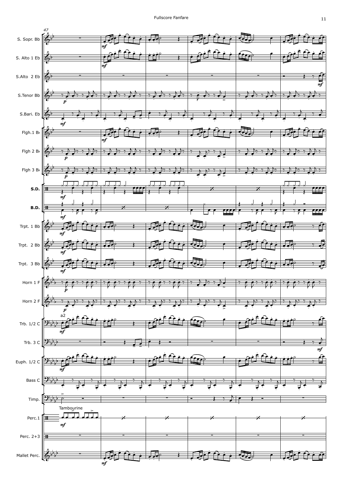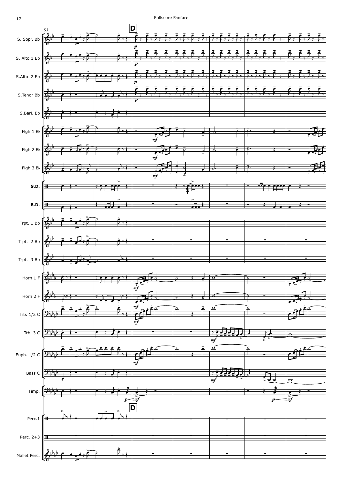![](_page_11_Figure_1.jpeg)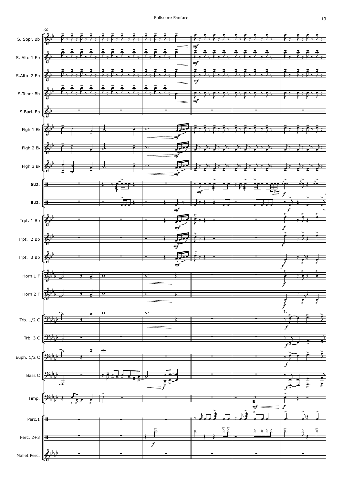![](_page_12_Figure_1.jpeg)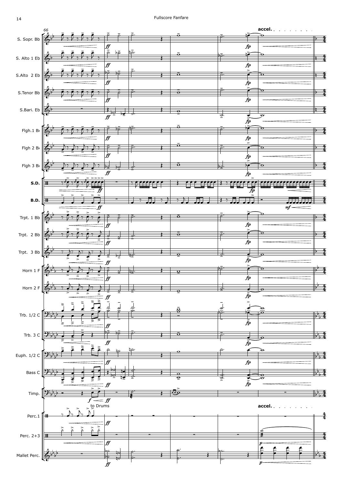![](_page_13_Figure_1.jpeg)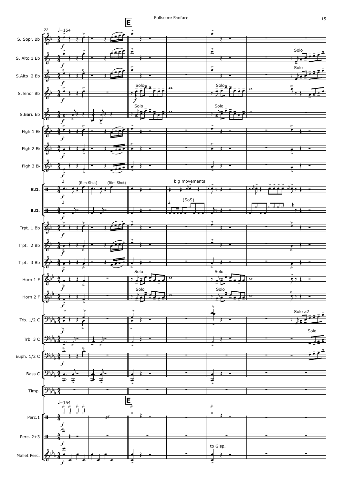![](_page_14_Figure_1.jpeg)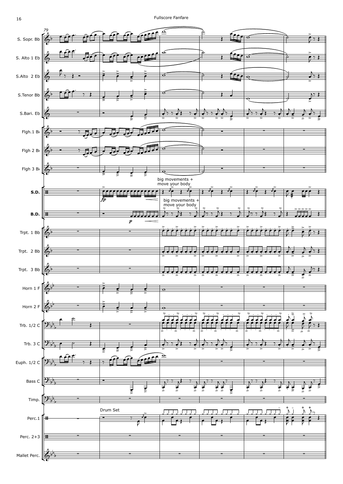![](_page_15_Figure_1.jpeg)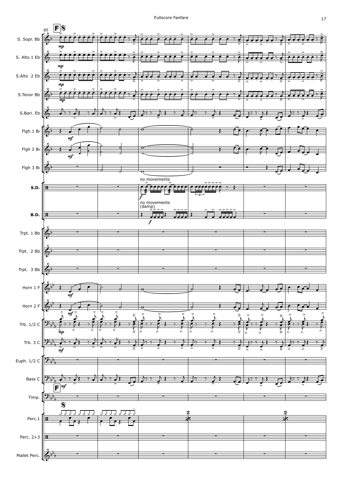![](_page_16_Figure_1.jpeg)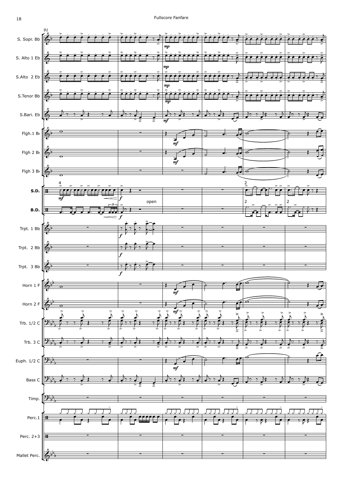![](_page_17_Figure_1.jpeg)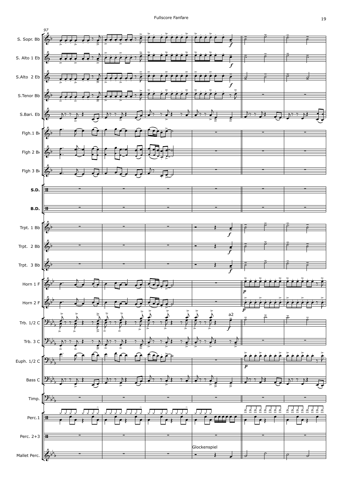![](_page_18_Figure_1.jpeg)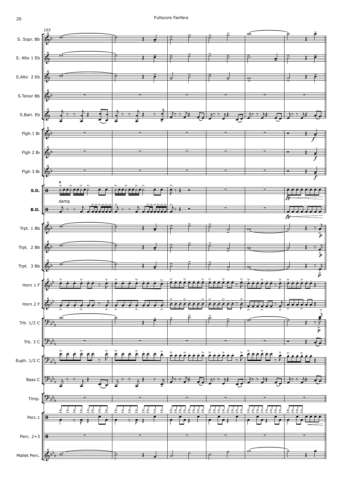![](_page_19_Figure_1.jpeg)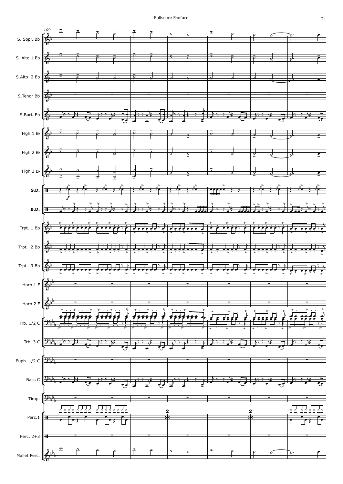![](_page_20_Figure_1.jpeg)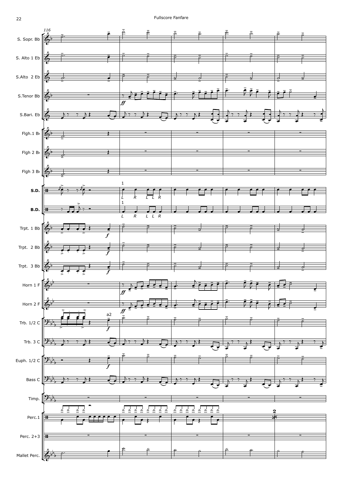![](_page_21_Figure_1.jpeg)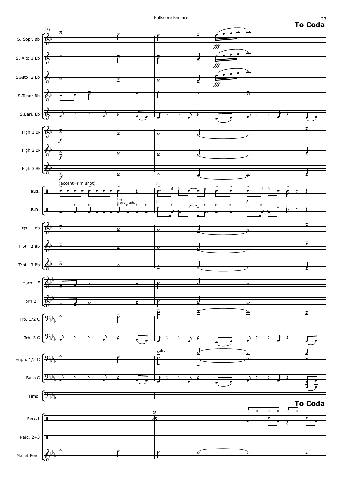![](_page_22_Figure_1.jpeg)

![](_page_22_Figure_2.jpeg)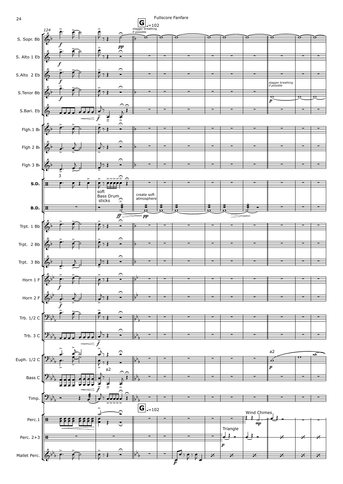![](_page_23_Figure_1.jpeg)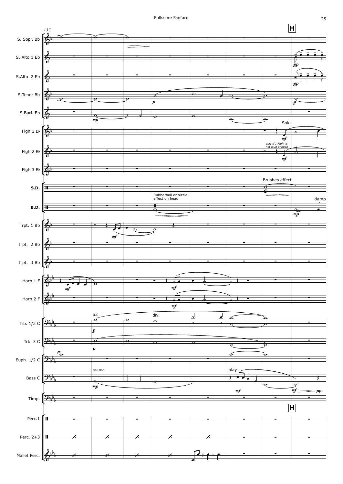![](_page_24_Figure_1.jpeg)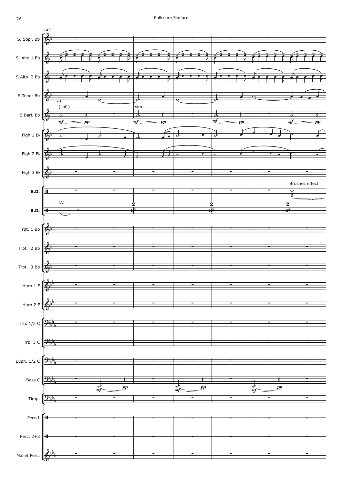![](_page_25_Figure_1.jpeg)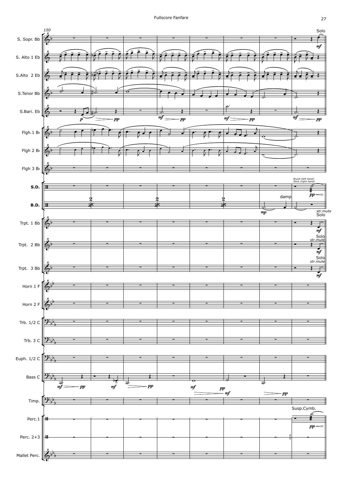![](_page_26_Figure_1.jpeg)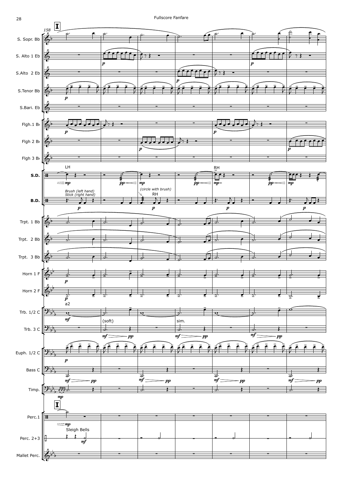![](_page_27_Figure_1.jpeg)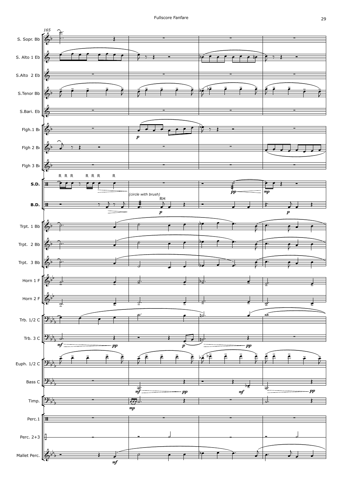![](_page_28_Figure_1.jpeg)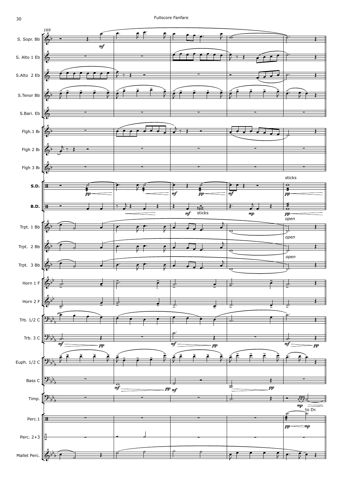![](_page_29_Figure_1.jpeg)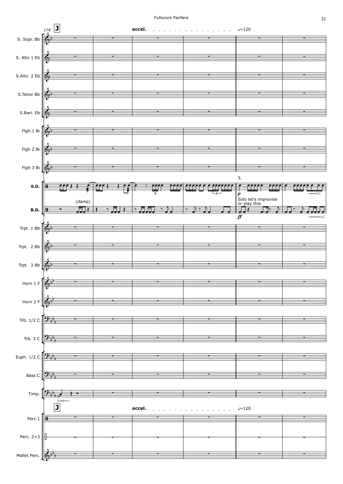![](_page_30_Figure_1.jpeg)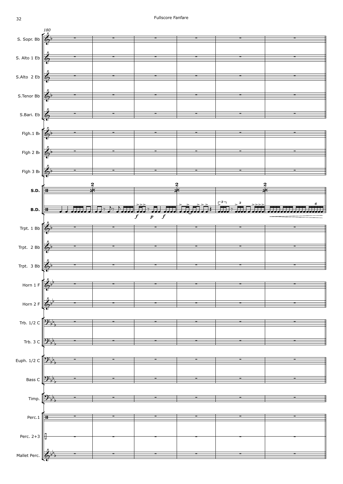![](_page_31_Figure_1.jpeg)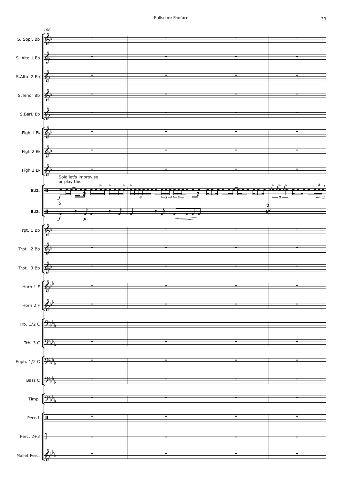![](_page_32_Figure_1.jpeg)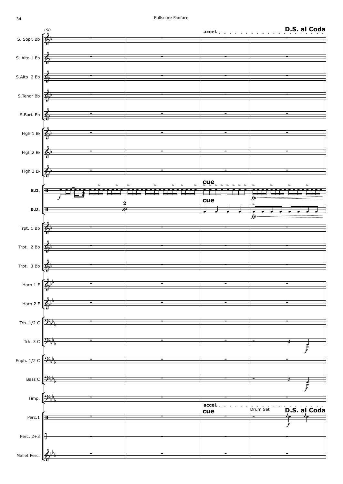![](_page_33_Figure_1.jpeg)